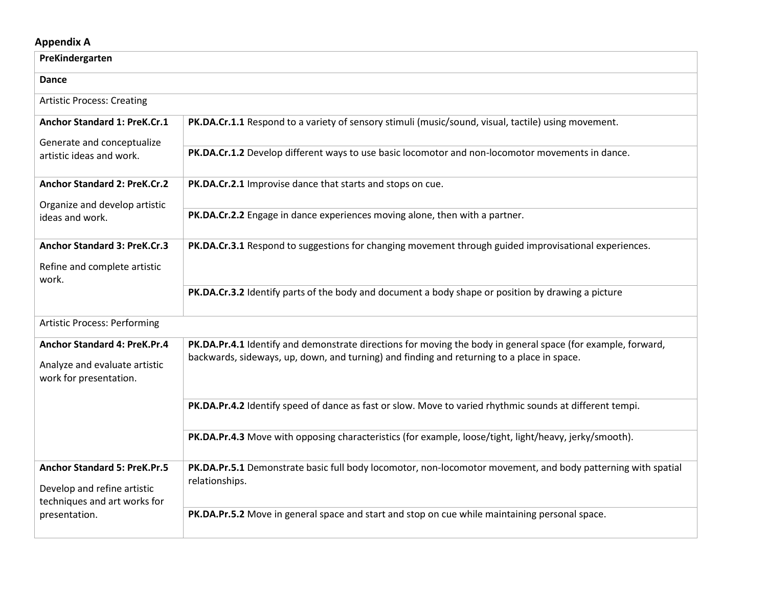## **Appendix A**

| PreKindergarten                                                                                    |                                                                                                                                                                                                            |  |
|----------------------------------------------------------------------------------------------------|------------------------------------------------------------------------------------------------------------------------------------------------------------------------------------------------------------|--|
| Dance                                                                                              |                                                                                                                                                                                                            |  |
| <b>Artistic Process: Creating</b>                                                                  |                                                                                                                                                                                                            |  |
| Anchor Standard 1: PreK.Cr.1                                                                       | PK.DA.Cr.1.1 Respond to a variety of sensory stimuli (music/sound, visual, tactile) using movement.                                                                                                        |  |
| Generate and conceptualize<br>artistic ideas and work.                                             | PK.DA.Cr.1.2 Develop different ways to use basic locomotor and non-locomotor movements in dance.                                                                                                           |  |
| <b>Anchor Standard 2: PreK.Cr.2</b>                                                                | PK.DA.Cr.2.1 Improvise dance that starts and stops on cue.                                                                                                                                                 |  |
| Organize and develop artistic<br>ideas and work.                                                   | PK.DA.Cr.2.2 Engage in dance experiences moving alone, then with a partner.                                                                                                                                |  |
| <b>Anchor Standard 3: PreK.Cr.3</b>                                                                | PK.DA.Cr.3.1 Respond to suggestions for changing movement through guided improvisational experiences.                                                                                                      |  |
| Refine and complete artistic<br>work.                                                              |                                                                                                                                                                                                            |  |
|                                                                                                    | PK.DA.Cr.3.2 Identify parts of the body and document a body shape or position by drawing a picture                                                                                                         |  |
| <b>Artistic Process: Performing</b>                                                                |                                                                                                                                                                                                            |  |
| <b>Anchor Standard 4: PreK.Pr.4</b><br>Analyze and evaluate artistic<br>work for presentation.     | PK.DA.Pr.4.1 Identify and demonstrate directions for moving the body in general space (for example, forward,<br>backwards, sideways, up, down, and turning) and finding and returning to a place in space. |  |
|                                                                                                    | PK.DA.Pr.4.2 Identify speed of dance as fast or slow. Move to varied rhythmic sounds at different tempi.                                                                                                   |  |
|                                                                                                    | PK.DA.Pr.4.3 Move with opposing characteristics (for example, loose/tight, light/heavy, jerky/smooth).                                                                                                     |  |
| <b>Anchor Standard 5: PreK.Pr.5</b><br>Develop and refine artistic<br>techniques and art works for | PK.DA.Pr.5.1 Demonstrate basic full body locomotor, non-locomotor movement, and body patterning with spatial<br>relationships.                                                                             |  |
| presentation.                                                                                      | PK.DA.Pr.5.2 Move in general space and start and stop on cue while maintaining personal space.                                                                                                             |  |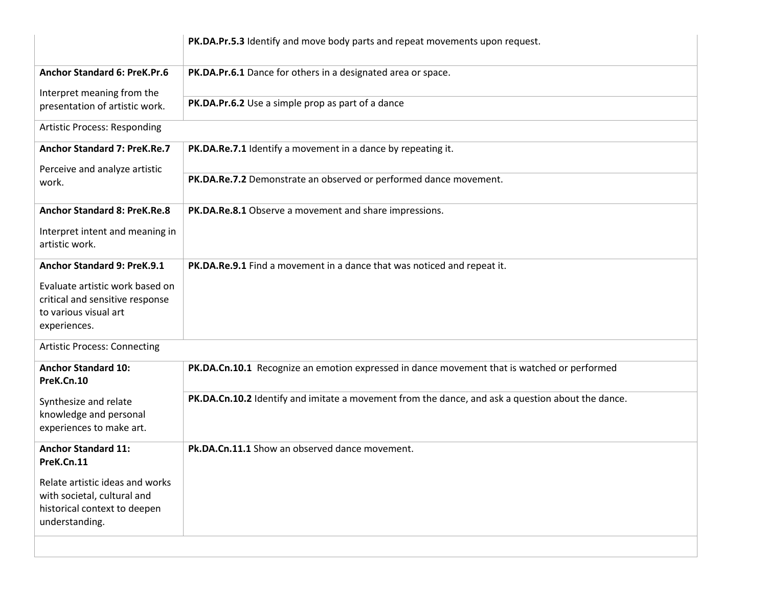|                                                              | PK.DA.Pr.5.3 Identify and move body parts and repeat movements upon request.                      |
|--------------------------------------------------------------|---------------------------------------------------------------------------------------------------|
| <b>Anchor Standard 6: PreK.Pr.6</b>                          | PK.DA.Pr.6.1 Dance for others in a designated area or space.                                      |
| Interpret meaning from the<br>presentation of artistic work. | PK.DA.Pr.6.2 Use a simple prop as part of a dance                                                 |
| <b>Artistic Process: Responding</b>                          |                                                                                                   |
| <b>Anchor Standard 7: PreK.Re.7</b>                          | PK.DA.Re.7.1 Identify a movement in a dance by repeating it.                                      |
| Perceive and analyze artistic<br>work.                       | PK.DA.Re.7.2 Demonstrate an observed or performed dance movement.                                 |
| <b>Anchor Standard 8: PreK.Re.8</b>                          | PK.DA.Re.8.1 Observe a movement and share impressions.                                            |
| Interpret intent and meaning in<br>artistic work.            |                                                                                                   |
| <b>Anchor Standard 9: PreK.9.1</b>                           | PK.DA.Re.9.1 Find a movement in a dance that was noticed and repeat it.                           |
| Evaluate artistic work based on                              |                                                                                                   |
| critical and sensitive response<br>to various visual art     |                                                                                                   |
| experiences.                                                 |                                                                                                   |
| <b>Artistic Process: Connecting</b>                          |                                                                                                   |
| <b>Anchor Standard 10:</b><br>PreK.Cn.10                     | PK.DA.Cn.10.1 Recognize an emotion expressed in dance movement that is watched or performed       |
| Synthesize and relate                                        | PK.DA.Cn.10.2 Identify and imitate a movement from the dance, and ask a question about the dance. |
| knowledge and personal<br>experiences to make art.           |                                                                                                   |
| <b>Anchor Standard 11:</b>                                   | Pk.DA.Cn.11.1 Show an observed dance movement.                                                    |
| PreK.Cn.11                                                   |                                                                                                   |
| Relate artistic ideas and works                              |                                                                                                   |
| with societal, cultural and<br>historical context to deepen  |                                                                                                   |
| understanding.                                               |                                                                                                   |
|                                                              |                                                                                                   |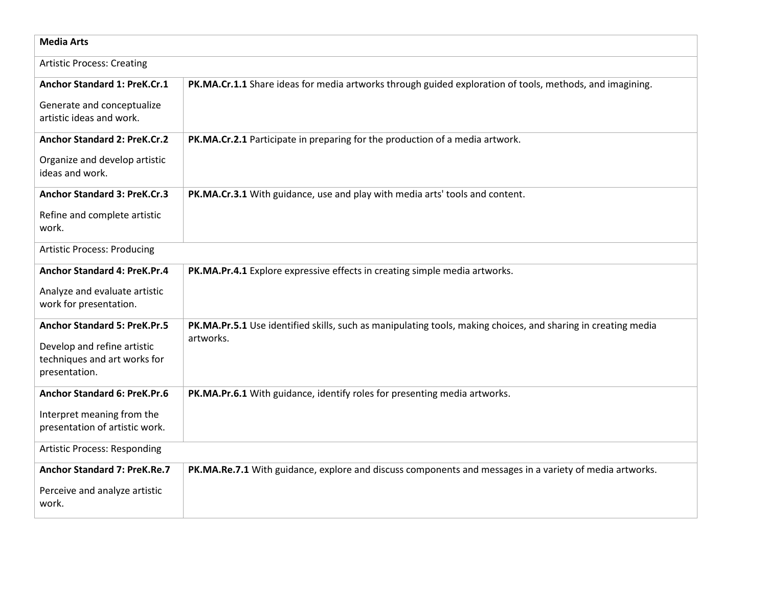| <b>Media Arts</b>                                            |                                                                                                               |  |
|--------------------------------------------------------------|---------------------------------------------------------------------------------------------------------------|--|
| <b>Artistic Process: Creating</b>                            |                                                                                                               |  |
| Anchor Standard 1: PreK.Cr.1                                 | PK.MA.Cr.1.1 Share ideas for media artworks through guided exploration of tools, methods, and imagining.      |  |
| Generate and conceptualize<br>artistic ideas and work.       |                                                                                                               |  |
| <b>Anchor Standard 2: PreK.Cr.2</b>                          | PK.MA.Cr.2.1 Participate in preparing for the production of a media artwork.                                  |  |
| Organize and develop artistic<br>ideas and work.             |                                                                                                               |  |
| <b>Anchor Standard 3: PreK.Cr.3</b>                          | PK.MA.Cr.3.1 With guidance, use and play with media arts' tools and content.                                  |  |
| Refine and complete artistic<br>work.                        |                                                                                                               |  |
| <b>Artistic Process: Producing</b>                           |                                                                                                               |  |
| <b>Anchor Standard 4: PreK.Pr.4</b>                          | PK.MA.Pr.4.1 Explore expressive effects in creating simple media artworks.                                    |  |
| Analyze and evaluate artistic<br>work for presentation.      |                                                                                                               |  |
| <b>Anchor Standard 5: PreK.Pr.5</b>                          | PK.MA.Pr.5.1 Use identified skills, such as manipulating tools, making choices, and sharing in creating media |  |
| Develop and refine artistic                                  | artworks.                                                                                                     |  |
| techniques and art works for<br>presentation.                |                                                                                                               |  |
| <b>Anchor Standard 6: PreK.Pr.6</b>                          | PK.MA.Pr.6.1 With guidance, identify roles for presenting media artworks.                                     |  |
| Interpret meaning from the<br>presentation of artistic work. |                                                                                                               |  |
| <b>Artistic Process: Responding</b>                          |                                                                                                               |  |
| <b>Anchor Standard 7: PreK.Re.7</b>                          | PK.MA.Re.7.1 With guidance, explore and discuss components and messages in a variety of media artworks.       |  |
| Perceive and analyze artistic<br>work.                       |                                                                                                               |  |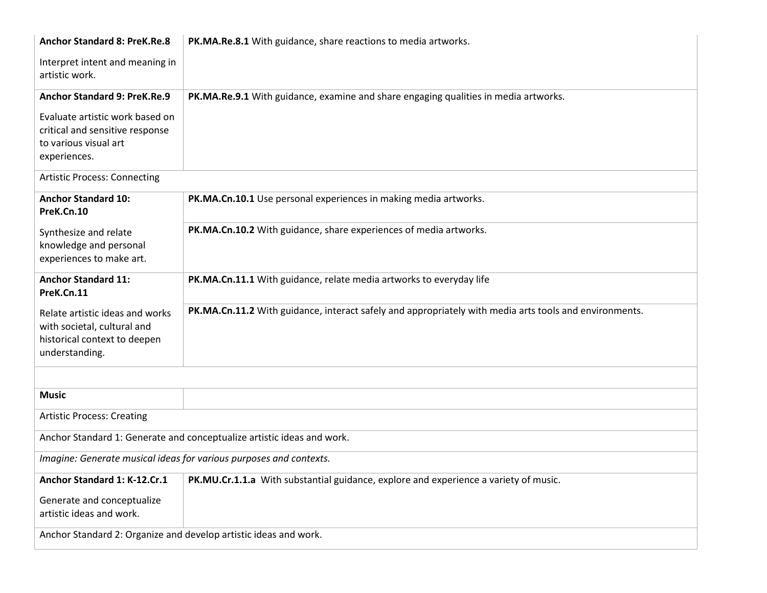| <b>Anchor Standard 8: PreK.Re.8</b>                                                                              | PK.MA.Re.8.1 With guidance, share reactions to media artworks.                                         |  |
|------------------------------------------------------------------------------------------------------------------|--------------------------------------------------------------------------------------------------------|--|
| Interpret intent and meaning in<br>artistic work.                                                                |                                                                                                        |  |
| Anchor Standard 9: PreK.Re.9                                                                                     | PK.MA.Re.9.1 With guidance, examine and share engaging qualities in media artworks.                    |  |
| Evaluate artistic work based on<br>critical and sensitive response<br>to various visual art<br>experiences.      |                                                                                                        |  |
| <b>Artistic Process: Connecting</b>                                                                              |                                                                                                        |  |
| <b>Anchor Standard 10:</b><br>PreK.Cn.10                                                                         | PK.MA.Cn.10.1 Use personal experiences in making media artworks.                                       |  |
| Synthesize and relate<br>knowledge and personal<br>experiences to make art.                                      | PK.MA.Cn.10.2 With guidance, share experiences of media artworks.                                      |  |
| <b>Anchor Standard 11:</b><br>PreK.Cn.11                                                                         | PK.MA.Cn.11.1 With guidance, relate media artworks to everyday life                                    |  |
| Relate artistic ideas and works<br>with societal, cultural and<br>historical context to deepen<br>understanding. | PK.MA.Cn.11.2 With guidance, interact safely and appropriately with media arts tools and environments. |  |
|                                                                                                                  |                                                                                                        |  |
| <b>Music</b>                                                                                                     |                                                                                                        |  |
| <b>Artistic Process: Creating</b>                                                                                |                                                                                                        |  |
| Anchor Standard 1: Generate and conceptualize artistic ideas and work.                                           |                                                                                                        |  |
| Imagine: Generate musical ideas for various purposes and contexts.                                               |                                                                                                        |  |
| Anchor Standard 1: K-12.Cr.1                                                                                     | PK.MU.Cr.1.1.a With substantial guidance, explore and experience a variety of music.                   |  |
| Generate and conceptualize<br>artistic ideas and work.                                                           |                                                                                                        |  |
| Anchor Standard 2: Organize and develop artistic ideas and work.                                                 |                                                                                                        |  |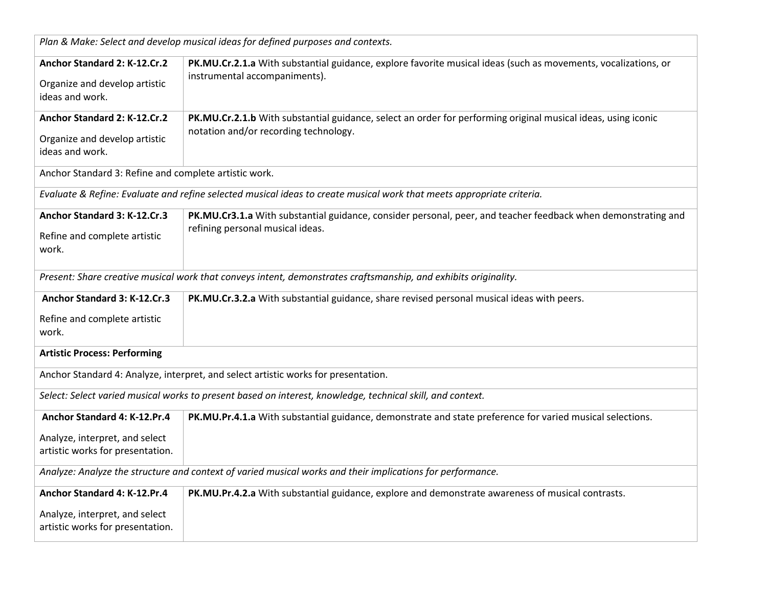| Plan & Make: Select and develop musical ideas for defined purposes and contexts.                           |                                                                                                                       |  |
|------------------------------------------------------------------------------------------------------------|-----------------------------------------------------------------------------------------------------------------------|--|
| Anchor Standard 2: K-12.Cr.2                                                                               | PK.MU.Cr.2.1.a With substantial guidance, explore favorite musical ideas (such as movements, vocalizations, or        |  |
| Organize and develop artistic                                                                              | instrumental accompaniments).                                                                                         |  |
| ideas and work.                                                                                            |                                                                                                                       |  |
| Anchor Standard 2: K-12.Cr.2                                                                               | PK.MU.Cr.2.1.b With substantial guidance, select an order for performing original musical ideas, using iconic         |  |
| Organize and develop artistic                                                                              | notation and/or recording technology.                                                                                 |  |
| ideas and work.                                                                                            |                                                                                                                       |  |
| Anchor Standard 3: Refine and complete artistic work.                                                      |                                                                                                                       |  |
|                                                                                                            | Evaluate & Refine: Evaluate and refine selected musical ideas to create musical work that meets appropriate criteria. |  |
| Anchor Standard 3: K-12.Cr.3                                                                               | PK.MU.Cr3.1.a With substantial guidance, consider personal, peer, and teacher feedback when demonstrating and         |  |
| Refine and complete artistic                                                                               | refining personal musical ideas.                                                                                      |  |
| work.                                                                                                      |                                                                                                                       |  |
|                                                                                                            | Present: Share creative musical work that conveys intent, demonstrates craftsmanship, and exhibits originality.       |  |
|                                                                                                            |                                                                                                                       |  |
| Anchor Standard 3: K-12.Cr.3                                                                               | PK.MU.Cr.3.2.a With substantial guidance, share revised personal musical ideas with peers.                            |  |
| Refine and complete artistic                                                                               |                                                                                                                       |  |
| work.                                                                                                      |                                                                                                                       |  |
| <b>Artistic Process: Performing</b>                                                                        |                                                                                                                       |  |
| Anchor Standard 4: Analyze, interpret, and select artistic works for presentation.                         |                                                                                                                       |  |
| Select: Select varied musical works to present based on interest, knowledge, technical skill, and context. |                                                                                                                       |  |
| Anchor Standard 4: K-12.Pr.4                                                                               | PK.MU.Pr.4.1.a With substantial guidance, demonstrate and state preference for varied musical selections.             |  |
| Analyze, interpret, and select                                                                             |                                                                                                                       |  |
| artistic works for presentation.                                                                           |                                                                                                                       |  |
| Analyze: Analyze the structure and context of varied musical works and their implications for performance. |                                                                                                                       |  |
| Anchor Standard 4: K-12.Pr.4                                                                               | PK.MU.Pr.4.2.a With substantial guidance, explore and demonstrate awareness of musical contrasts.                     |  |
| Analyze, interpret, and select                                                                             |                                                                                                                       |  |
| artistic works for presentation.                                                                           |                                                                                                                       |  |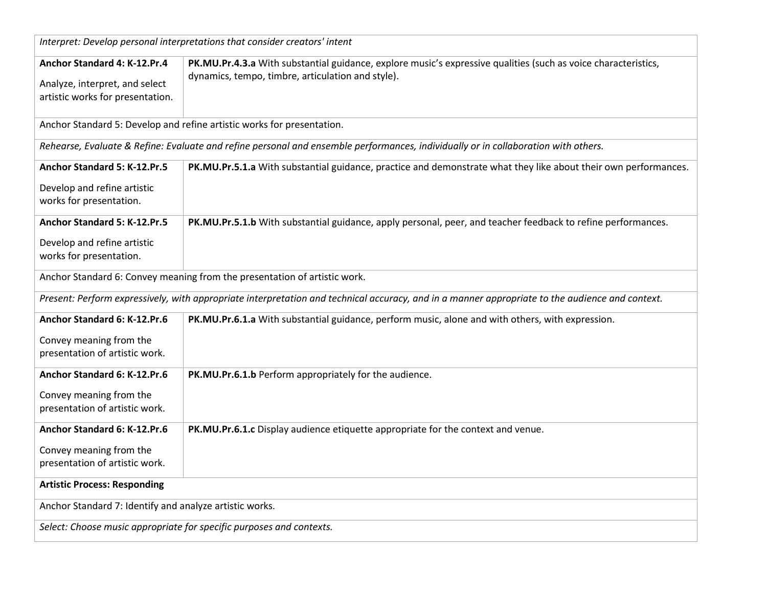| Interpret: Develop personal interpretations that consider creators' intent |                                                                                                                                                 |  |
|----------------------------------------------------------------------------|-------------------------------------------------------------------------------------------------------------------------------------------------|--|
| Anchor Standard 4: K-12.Pr.4                                               | PK.MU.Pr.4.3.a With substantial guidance, explore music's expressive qualities (such as voice characteristics,                                  |  |
| Analyze, interpret, and select                                             | dynamics, tempo, timbre, articulation and style).                                                                                               |  |
| artistic works for presentation.                                           |                                                                                                                                                 |  |
|                                                                            |                                                                                                                                                 |  |
|                                                                            | Anchor Standard 5: Develop and refine artistic works for presentation.                                                                          |  |
|                                                                            | Rehearse, Evaluate & Refine: Evaluate and refine personal and ensemble performances, individually or in collaboration with others.              |  |
| Anchor Standard 5: K-12.Pr.5                                               | PK.MU.Pr.5.1.a With substantial guidance, practice and demonstrate what they like about their own performances.                                 |  |
| Develop and refine artistic                                                |                                                                                                                                                 |  |
| works for presentation.                                                    |                                                                                                                                                 |  |
| Anchor Standard 5: K-12.Pr.5                                               | PK.MU.Pr.5.1.b With substantial guidance, apply personal, peer, and teacher feedback to refine performances.                                    |  |
| Develop and refine artistic                                                |                                                                                                                                                 |  |
| works for presentation.                                                    |                                                                                                                                                 |  |
|                                                                            | Anchor Standard 6: Convey meaning from the presentation of artistic work.                                                                       |  |
|                                                                            | Present: Perform expressively, with appropriate interpretation and technical accuracy, and in a manner appropriate to the audience and context. |  |
| Anchor Standard 6: K-12.Pr.6                                               | PK.MU.Pr.6.1.a With substantial guidance, perform music, alone and with others, with expression.                                                |  |
| Convey meaning from the                                                    |                                                                                                                                                 |  |
| presentation of artistic work.                                             |                                                                                                                                                 |  |
| Anchor Standard 6: K-12.Pr.6                                               | PK.MU.Pr.6.1.b Perform appropriately for the audience.                                                                                          |  |
| Convey meaning from the                                                    |                                                                                                                                                 |  |
| presentation of artistic work.                                             |                                                                                                                                                 |  |
| Anchor Standard 6: K-12.Pr.6                                               | PK.MU.Pr.6.1.c Display audience etiquette appropriate for the context and venue.                                                                |  |
| Convey meaning from the                                                    |                                                                                                                                                 |  |
| presentation of artistic work.                                             |                                                                                                                                                 |  |
| <b>Artistic Process: Responding</b>                                        |                                                                                                                                                 |  |
| Anchor Standard 7: Identify and analyze artistic works.                    |                                                                                                                                                 |  |
| Select: Choose music appropriate for specific purposes and contexts.       |                                                                                                                                                 |  |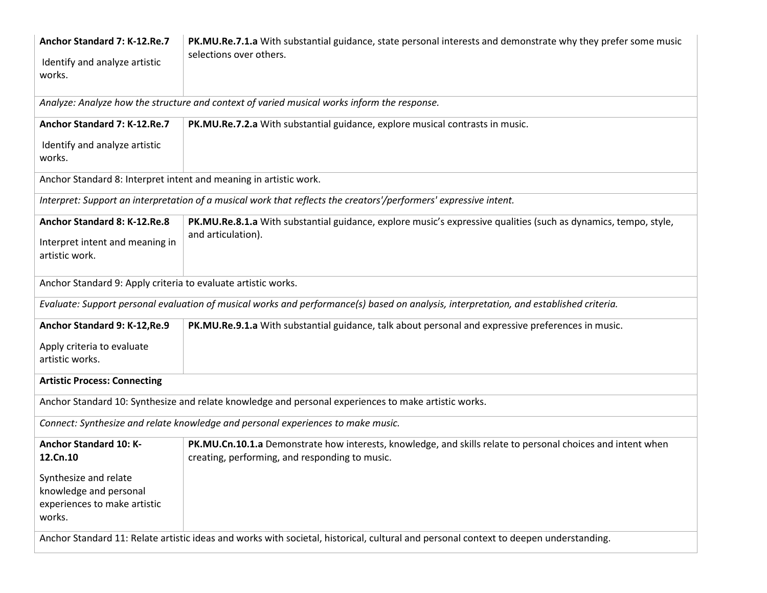| Anchor Standard 7: K-12.Re.7<br>Identify and analyze artistic<br>works.                                                               | PK.MU.Re.7.1.a With substantial guidance, state personal interests and demonstrate why they prefer some music<br>selections over others.                      |  |
|---------------------------------------------------------------------------------------------------------------------------------------|---------------------------------------------------------------------------------------------------------------------------------------------------------------|--|
|                                                                                                                                       | Analyze: Analyze how the structure and context of varied musical works inform the response.                                                                   |  |
| Anchor Standard 7: K-12.Re.7                                                                                                          | PK.MU.Re.7.2.a With substantial guidance, explore musical contrasts in music.                                                                                 |  |
| Identify and analyze artistic<br>works.                                                                                               |                                                                                                                                                               |  |
| Anchor Standard 8: Interpret intent and meaning in artistic work.                                                                     |                                                                                                                                                               |  |
|                                                                                                                                       | Interpret: Support an interpretation of a musical work that reflects the creators'/performers' expressive intent.                                             |  |
| Anchor Standard 8: K-12.Re.8                                                                                                          | PK.MU.Re.8.1.a With substantial guidance, explore music's expressive qualities (such as dynamics, tempo, style,                                               |  |
| Interpret intent and meaning in<br>artistic work.                                                                                     | and articulation).                                                                                                                                            |  |
| Anchor Standard 9: Apply criteria to evaluate artistic works.                                                                         |                                                                                                                                                               |  |
|                                                                                                                                       | Evaluate: Support personal evaluation of musical works and performance(s) based on analysis, interpretation, and established criteria.                        |  |
| Anchor Standard 9: K-12, Re.9                                                                                                         | PK.MU.Re.9.1.a With substantial guidance, talk about personal and expressive preferences in music.                                                            |  |
| Apply criteria to evaluate<br>artistic works.                                                                                         |                                                                                                                                                               |  |
| <b>Artistic Process: Connecting</b>                                                                                                   |                                                                                                                                                               |  |
|                                                                                                                                       | Anchor Standard 10: Synthesize and relate knowledge and personal experiences to make artistic works.                                                          |  |
|                                                                                                                                       | Connect: Synthesize and relate knowledge and personal experiences to make music.                                                                              |  |
| <b>Anchor Standard 10: K-</b><br>12.Cn.10                                                                                             | PK.MU.Cn.10.1.a Demonstrate how interests, knowledge, and skills relate to personal choices and intent when<br>creating, performing, and responding to music. |  |
| Synthesize and relate<br>knowledge and personal<br>experiences to make artistic<br>works.                                             |                                                                                                                                                               |  |
| Anchor Standard 11: Relate artistic ideas and works with societal, historical, cultural and personal context to deepen understanding. |                                                                                                                                                               |  |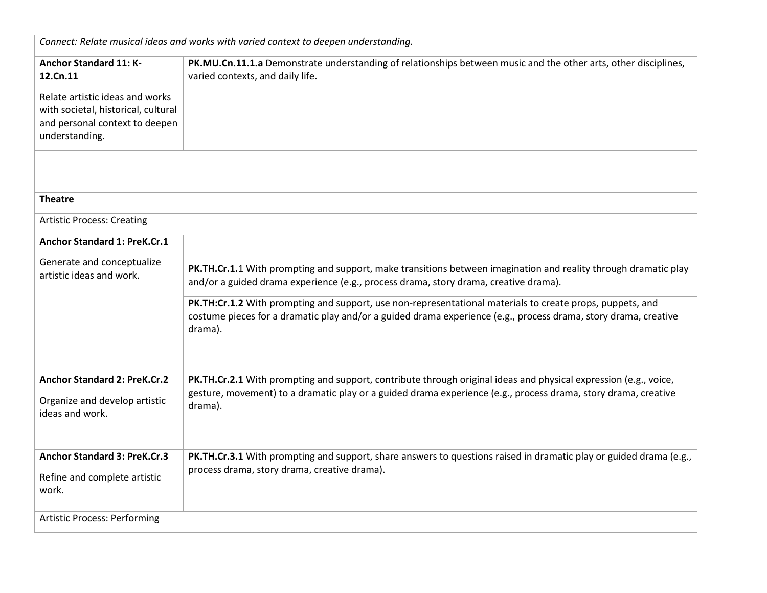| Connect: Relate musical ideas and works with varied context to deepen understanding.                                                                                    |                                                                                                                                                                                                                                         |
|-------------------------------------------------------------------------------------------------------------------------------------------------------------------------|-----------------------------------------------------------------------------------------------------------------------------------------------------------------------------------------------------------------------------------------|
| <b>Anchor Standard 11: K-</b><br>12.Cn.11<br>Relate artistic ideas and works<br>with societal, historical, cultural<br>and personal context to deepen<br>understanding. | PK.MU.Cn.11.1.a Demonstrate understanding of relationships between music and the other arts, other disciplines,<br>varied contexts, and daily life.                                                                                     |
| <b>Theatre</b>                                                                                                                                                          |                                                                                                                                                                                                                                         |
|                                                                                                                                                                         |                                                                                                                                                                                                                                         |
| <b>Artistic Process: Creating</b>                                                                                                                                       |                                                                                                                                                                                                                                         |
| Anchor Standard 1: PreK.Cr.1                                                                                                                                            |                                                                                                                                                                                                                                         |
| Generate and conceptualize<br>artistic ideas and work.                                                                                                                  | PK.TH.Cr.1.1 With prompting and support, make transitions between imagination and reality through dramatic play<br>and/or a guided drama experience (e.g., process drama, story drama, creative drama).                                 |
|                                                                                                                                                                         | PK.TH:Cr.1.2 With prompting and support, use non-representational materials to create props, puppets, and<br>costume pieces for a dramatic play and/or a guided drama experience (e.g., process drama, story drama, creative<br>drama). |
| <b>Anchor Standard 2: PreK.Cr.2</b>                                                                                                                                     | PK.TH.Cr.2.1 With prompting and support, contribute through original ideas and physical expression (e.g., voice,                                                                                                                        |
| Organize and develop artistic<br>ideas and work.                                                                                                                        | gesture, movement) to a dramatic play or a guided drama experience (e.g., process drama, story drama, creative<br>drama).                                                                                                               |
| <b>Anchor Standard 3: PreK.Cr.3</b>                                                                                                                                     | PK.TH.Cr.3.1 With prompting and support, share answers to questions raised in dramatic play or guided drama (e.g.,                                                                                                                      |
| Refine and complete artistic<br>work.                                                                                                                                   | process drama, story drama, creative drama).                                                                                                                                                                                            |
| <b>Artistic Process: Performing</b>                                                                                                                                     |                                                                                                                                                                                                                                         |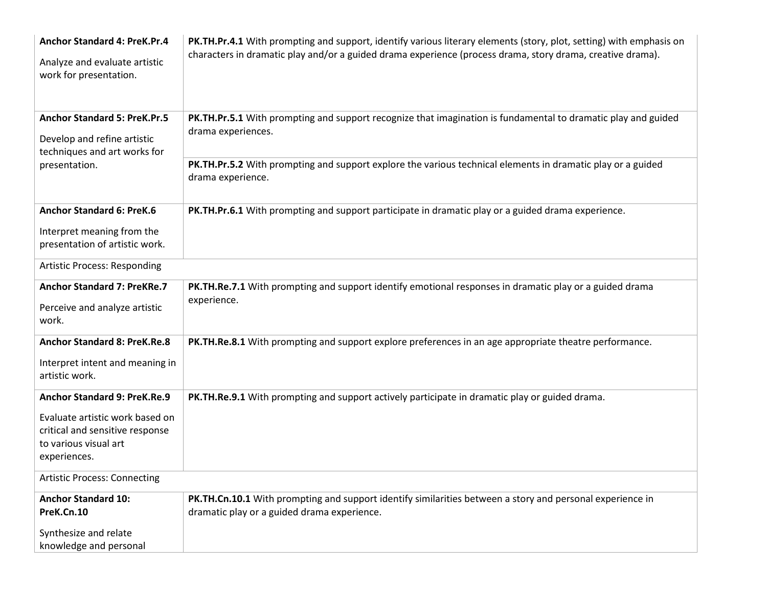| <b>Anchor Standard 4: PreK.Pr.4</b><br>Analyze and evaluate artistic<br>work for presentation.     | PK.TH.Pr.4.1 With prompting and support, identify various literary elements (story, plot, setting) with emphasis on<br>characters in dramatic play and/or a guided drama experience (process drama, story drama, creative drama). |  |
|----------------------------------------------------------------------------------------------------|-----------------------------------------------------------------------------------------------------------------------------------------------------------------------------------------------------------------------------------|--|
| <b>Anchor Standard 5: PreK.Pr.5</b><br>Develop and refine artistic<br>techniques and art works for | PK.TH.Pr.5.1 With prompting and support recognize that imagination is fundamental to dramatic play and guided<br>drama experiences.                                                                                               |  |
| presentation.                                                                                      | PK.TH.Pr.5.2 With prompting and support explore the various technical elements in dramatic play or a guided<br>drama experience.                                                                                                  |  |
| <b>Anchor Standard 6: PreK.6</b><br>Interpret meaning from the<br>presentation of artistic work.   | PK.TH.Pr.6.1 With prompting and support participate in dramatic play or a guided drama experience.                                                                                                                                |  |
| <b>Artistic Process: Responding</b>                                                                |                                                                                                                                                                                                                                   |  |
| <b>Anchor Standard 7: PreKRe.7</b>                                                                 | PK.TH.Re.7.1 With prompting and support identify emotional responses in dramatic play or a guided drama                                                                                                                           |  |
| Perceive and analyze artistic<br>work.                                                             | experience.                                                                                                                                                                                                                       |  |
| <b>Anchor Standard 8: PreK.Re.8</b>                                                                | PK.TH.Re.8.1 With prompting and support explore preferences in an age appropriate theatre performance.                                                                                                                            |  |
| Interpret intent and meaning in<br>artistic work.                                                  |                                                                                                                                                                                                                                   |  |
| Anchor Standard 9: PreK.Re.9                                                                       | PK.TH.Re.9.1 With prompting and support actively participate in dramatic play or guided drama.                                                                                                                                    |  |
| Evaluate artistic work based on                                                                    |                                                                                                                                                                                                                                   |  |
| critical and sensitive response<br>to various visual art                                           |                                                                                                                                                                                                                                   |  |
| experiences.                                                                                       |                                                                                                                                                                                                                                   |  |
| <b>Artistic Process: Connecting</b>                                                                |                                                                                                                                                                                                                                   |  |
| <b>Anchor Standard 10:</b>                                                                         | PK.TH.Cn.10.1 With prompting and support identify similarities between a story and personal experience in                                                                                                                         |  |
| PreK.Cn.10                                                                                         | dramatic play or a guided drama experience.                                                                                                                                                                                       |  |
| Synthesize and relate                                                                              |                                                                                                                                                                                                                                   |  |
| knowledge and personal                                                                             |                                                                                                                                                                                                                                   |  |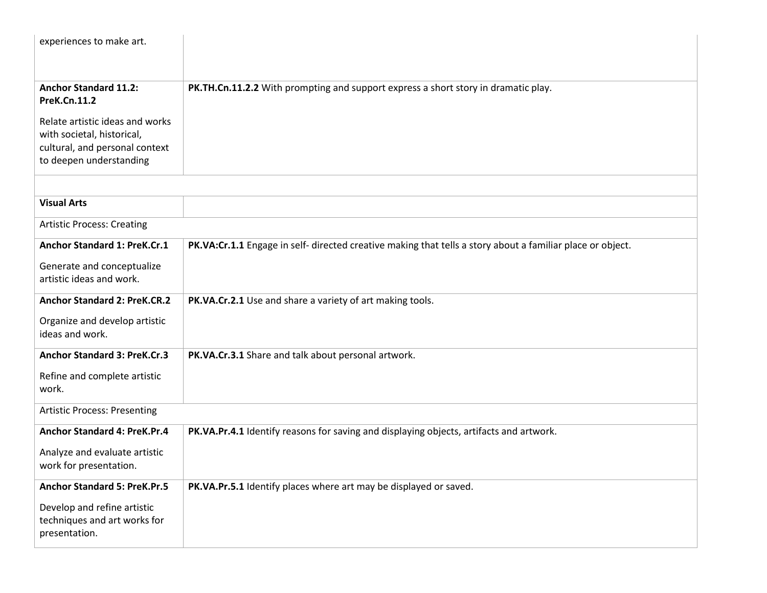| experiences to make art.                                                                                                   |                                                                                                            |  |
|----------------------------------------------------------------------------------------------------------------------------|------------------------------------------------------------------------------------------------------------|--|
|                                                                                                                            |                                                                                                            |  |
| <b>Anchor Standard 11.2:</b><br><b>PreK.Cn.11.2</b>                                                                        | PK.TH.Cn.11.2.2 With prompting and support express a short story in dramatic play.                         |  |
| Relate artistic ideas and works<br>with societal, historical,<br>cultural, and personal context<br>to deepen understanding |                                                                                                            |  |
|                                                                                                                            |                                                                                                            |  |
| <b>Visual Arts</b>                                                                                                         |                                                                                                            |  |
| <b>Artistic Process: Creating</b>                                                                                          |                                                                                                            |  |
| Anchor Standard 1: PreK.Cr.1                                                                                               | PK.VA:Cr.1.1 Engage in self- directed creative making that tells a story about a familiar place or object. |  |
| Generate and conceptualize<br>artistic ideas and work.                                                                     |                                                                                                            |  |
| <b>Anchor Standard 2: PreK.CR.2</b>                                                                                        | PK.VA.Cr.2.1 Use and share a variety of art making tools.                                                  |  |
| Organize and develop artistic<br>ideas and work.                                                                           |                                                                                                            |  |
| <b>Anchor Standard 3: PreK.Cr.3</b>                                                                                        | PK.VA.Cr.3.1 Share and talk about personal artwork.                                                        |  |
| Refine and complete artistic<br>work.                                                                                      |                                                                                                            |  |
| <b>Artistic Process: Presenting</b>                                                                                        |                                                                                                            |  |
| <b>Anchor Standard 4: PreK.Pr.4</b>                                                                                        | PK.VA.Pr.4.1 Identify reasons for saving and displaying objects, artifacts and artwork.                    |  |
| Analyze and evaluate artistic<br>work for presentation.                                                                    |                                                                                                            |  |
| <b>Anchor Standard 5: PreK.Pr.5</b>                                                                                        | PK.VA.Pr.5.1 Identify places where art may be displayed or saved.                                          |  |
| Develop and refine artistic<br>techniques and art works for<br>presentation.                                               |                                                                                                            |  |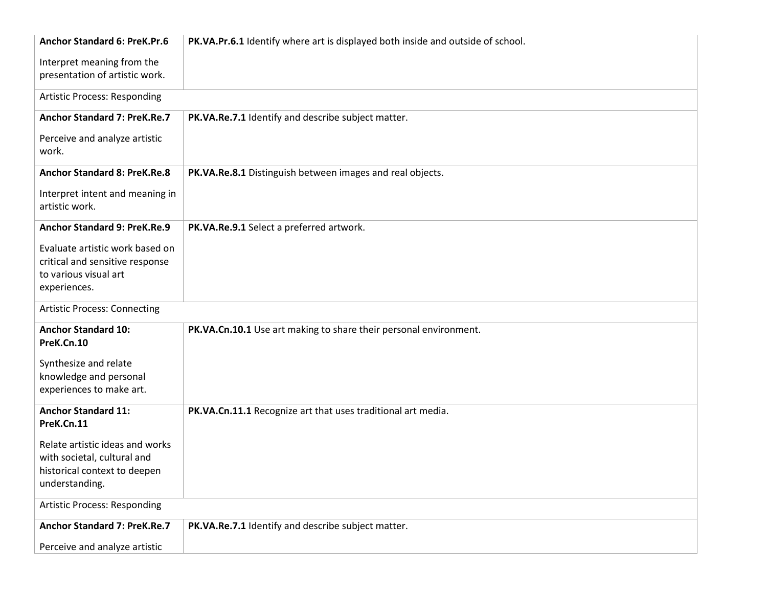| <b>Anchor Standard 6: PreK.Pr.6</b>                                                                              | PK.VA.Pr.6.1 Identify where art is displayed both inside and outside of school. |  |  |
|------------------------------------------------------------------------------------------------------------------|---------------------------------------------------------------------------------|--|--|
| Interpret meaning from the<br>presentation of artistic work.                                                     |                                                                                 |  |  |
| <b>Artistic Process: Responding</b>                                                                              |                                                                                 |  |  |
| <b>Anchor Standard 7: PreK.Re.7</b>                                                                              | PK.VA.Re.7.1 Identify and describe subject matter.                              |  |  |
| Perceive and analyze artistic<br>work.                                                                           |                                                                                 |  |  |
| <b>Anchor Standard 8: PreK.Re.8</b>                                                                              | PK.VA.Re.8.1 Distinguish between images and real objects.                       |  |  |
| Interpret intent and meaning in<br>artistic work.                                                                |                                                                                 |  |  |
| <b>Anchor Standard 9: PreK.Re.9</b>                                                                              | PK.VA.Re.9.1 Select a preferred artwork.                                        |  |  |
| Evaluate artistic work based on<br>critical and sensitive response<br>to various visual art<br>experiences.      |                                                                                 |  |  |
| <b>Artistic Process: Connecting</b>                                                                              |                                                                                 |  |  |
| <b>Anchor Standard 10:</b><br>PreK.Cn.10                                                                         | PK.VA.Cn.10.1 Use art making to share their personal environment.               |  |  |
| Synthesize and relate<br>knowledge and personal<br>experiences to make art.                                      |                                                                                 |  |  |
| <b>Anchor Standard 11:</b><br>PreK.Cn.11                                                                         | PK.VA.Cn.11.1 Recognize art that uses traditional art media.                    |  |  |
| Relate artistic ideas and works<br>with societal, cultural and<br>historical context to deepen<br>understanding. |                                                                                 |  |  |
| <b>Artistic Process: Responding</b>                                                                              |                                                                                 |  |  |
| <b>Anchor Standard 7: PreK.Re.7</b>                                                                              | PK.VA.Re.7.1 Identify and describe subject matter.                              |  |  |
| Perceive and analyze artistic                                                                                    |                                                                                 |  |  |